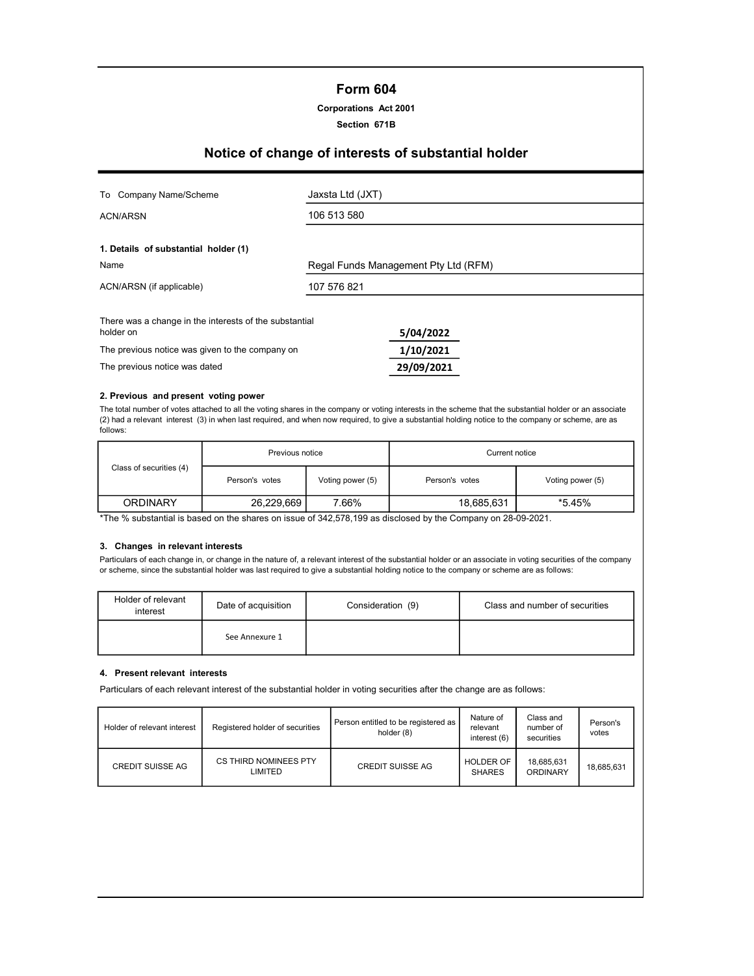# Form 604

#### Corporations Act 2001

#### Section 671B

# Notice of change of interests of substantial holder

| Company Name/Scheme<br>To                                                        | Jaxsta Ltd (JXT) |                                      |  |  |  |
|----------------------------------------------------------------------------------|------------------|--------------------------------------|--|--|--|
| ACN/ARSN                                                                         | 106 513 580      |                                      |  |  |  |
| 1. Details of substantial holder (1)                                             |                  |                                      |  |  |  |
| Name                                                                             |                  | Regal Funds Management Pty Ltd (RFM) |  |  |  |
| ACN/ARSN (if applicable)                                                         | 107 576 821      |                                      |  |  |  |
| There was a change in the interests of the substantial<br>holder on<br>5/04/2022 |                  |                                      |  |  |  |
| The previous notice was given to the company on                                  |                  | 1/10/2021                            |  |  |  |
| The previous notice was dated                                                    |                  | 29/09/2021                           |  |  |  |

#### 2. Previous and present voting power

The total number of votes attached to all the voting shares in the company or voting interests in the scheme that the substantial holder or an associate (2) had a relevant interest (3) in when last required, and when now required, to give a substantial holding notice to the company or scheme, are as follows:

|                         | Previous notice |                  | Current notice |                  |
|-------------------------|-----------------|------------------|----------------|------------------|
| Class of securities (4) | Person's votes  | Voting power (5) | Person's votes | Voting power (5) |
| <b>ORDINARY</b>         | 26,229,669      | 7.66%            | 18,685,631     | *5.45%           |

\*The % substantial is based on the shares on issue of 342,578,199 as disclosed by the Company on 28-09-2021.

#### 3. Changes in relevant interests

Particulars of each change in, or change in the nature of, a relevant interest of the substantial holder or an associate in voting securities of the company or scheme, since the substantial holder was last required to give a substantial holding notice to the company or scheme are as follows:

| Holder of relevant<br>interest | Date of acquisition | Consideration (9) | Class and number of securities |  |  |
|--------------------------------|---------------------|-------------------|--------------------------------|--|--|
|                                | See Annexure 1      |                   |                                |  |  |

#### 4. Present relevant interests

Particulars of each relevant interest of the substantial holder in voting securities after the change are as follows:

| Holder of relevant interest | Registered holder of securities  | Person entitled to be registered as<br>holder (8) | Nature of<br>relevant<br>interest (6) | Class and<br>number of<br>securities | Person's<br>votes |
|-----------------------------|----------------------------------|---------------------------------------------------|---------------------------------------|--------------------------------------|-------------------|
| <b>CREDIT SUISSE AG</b>     | CS THIRD NOMINEES PTY<br>LIMITED | <b>CREDIT SUISSE AG</b>                           | <b>HOLDER OF</b><br><b>SHARES</b>     | 18,685,631<br>ORDINARY               | 18.685.631        |